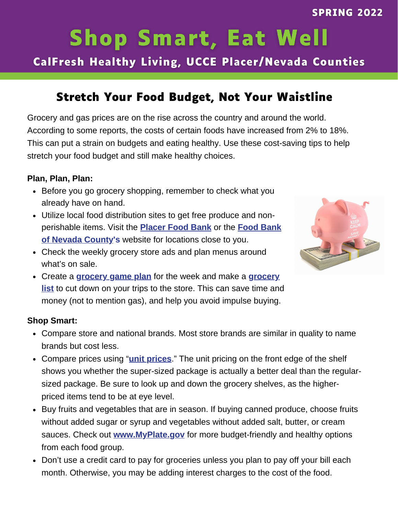# **Shop Smart, Eat Well**

CalFresh Healthy Living, UCCE Placer/Nevada Counties

## **Stretch Your Food Budget, Not Your Waistline**

Grocery and gas prices are on the rise across the country and around the world. According to some reports, the costs of certain foods have increased from 2% to 18%. This can put a strain on budgets and eating healthy. Use these cost-saving tips to help stretch your food budget and still make healthy choices.

### **Plan, Plan, Plan:**

- Before you go grocery shopping, remember to check what you already have on hand.
- Utilize local food distribution sites to get free produce and nonperishable items. Visit the **Placer Food Bank** or the **Food Bank of Nevada County's** website for locations close to you.
- Check the weekly grocery store ads and plan menus around what's on sale.



Create a **grocery game plan** for the week and make a **grocery list** to cut down on your trips to the store. This can save time and money (not to mention gas), and help you avoid impulse buying.

### **Shop Smart:**

- Compare store and national brands. Most store brands are similar in quality to name brands but cost less.
- Compare prices using "**unit prices**." The unit pricing on the front edge of the shelf shows you whether the super-sized package is actually a better deal than the regularsized package. Be sure to look up and down the grocery shelves, as the higherpriced items tend to be at eye level.
- Buy fruits and vegetables that are in season. If buying canned produce, choose fruits without added sugar or syrup and vegetables without added salt, butter, or cream sauces. Check out **www.MyPlate.gov** for more budget-friendly and healthy options from each food group.
- Don't use a credit card to pay for groceries unless you plan to pay off your bill each month. Otherwise, you may be adding interest charges to the cost of the food.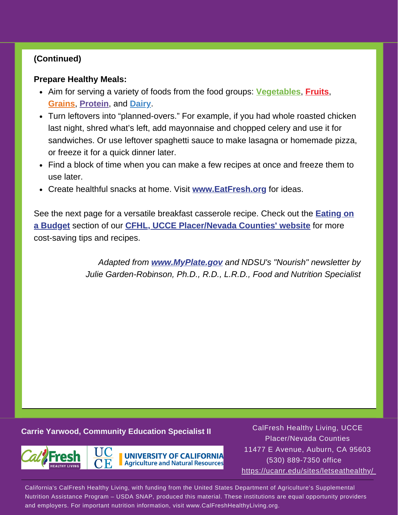### **(Continued)**

### **Prepare Healthy Meals:**

- Aim for serving a variety of foods from the food groups: **Vegetables**, **Fruits**, **Grains**, **Protein**, and **Dairy**.
- Turn leftovers into "planned-overs." For example, if you had whole roasted chicken last night, shred what's left, add mayonnaise and chopped celery and use it for sandwiches. Or use leftover spaghetti sauce to make lasagna or homemade pizza, or freeze it for a quick dinner later.
- Find a block of time when you can make a few recipes at once and freeze them to use later.
- Create healthful snacks at home. Visit **www.EatFresh.org** for ideas.

See the next page for a versatile breakfast casserole recipe. Check out the **Eating on a Budget** section of our **CFHL, UCCE Placer/Nevada Counties' website** for more cost-saving tips and recipes.

> *Adapted from www.MyPlate.gov and NDSU's "Nourish" newsletter by Julie Garden-Robinson, Ph.D., R.D., L.R.D., Food and Nutrition Specialist*

### **Carrie Yarwood, Community Education Specialist II**



CalFresh Healthy Living, UCCE Placer/Nevada Counties 11477 E Avenue, Auburn, CA 95603 (530) 889-7350 office https://ucanr.edu/sites/letseathealthy/

California's CalFresh Healthy Living, with funding from the United States Department of Agriculture's Supplemental Nutrition Assistance Program – USDA SNAP, produced this material. These institutions are equal opportunity providers and employers. For important nutrition information, visit www.CalFreshHealthyLiving.org.

**UNIVERSITY OF CALIFORNIA Agriculture and Natural Resources**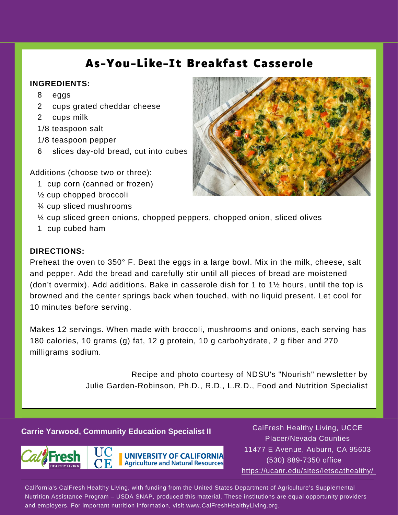## **As-You-Like-It Breakfast Casserole**

### **INGREDIENTS:**

- 8 eggs
- 2 cups grated cheddar cheese
- 2 cups milk
- 1/8 teaspoon salt
- 1/8 teaspoon pepper
- 6 slices day-old bread, cut into cubes

Additions (choose two or three):

- 1 cup corn (canned or frozen)
- ½ cup chopped broccoli
- ¾ cup sliced mushrooms



- ¼ cup sliced green onions, chopped peppers, chopped onion, sliced olives
- 1 cup cubed ham

### **DIRECTIONS:**

Preheat the oven to 350° F. Beat the eggs in a large bowl. Mix in the milk, cheese, salt and pepper. Add the bread and carefully stir until all pieces of bread are moistened (don't overmix). Add additions. Bake in casserole dish for 1 to 1½ hours, until the top is browned and the center springs back when touched, with no liquid present. Let cool for 10 minutes before serving.

Makes 12 servings. When made with broccoli, mushrooms and onions, each serving has 180 calories, 10 grams (g) fat, 12 g protein, 10 g carbohydrate, 2 g fiber and 270 milligrams sodium.

> Recipe and photo courtesy of NDSU's "Nourish" newsletter by Julie Garden-Robinson, Ph.D., R.D., L.R.D., Food and Nutrition Specialist

### **Carrie Yarwood, Community Education Specialist II**



**UNIVERSITY OF CALIFORNIA Agriculture and Natural Resources** 

CalFresh Healthy Living, UCCE Placer/Nevada Counties 11477 E Avenue, Auburn, CA 95603 (530) 889-7350 office https://ucanr.edu/sites/letseathealthy/

California's CalFresh Healthy Living, with funding from the United States Department of Agriculture's Supplemental Nutrition Assistance Program – USDA SNAP, produced this material. These institutions are equal opportunity providers and employers. For important nutrition information, visit www.CalFreshHealthyLiving.org.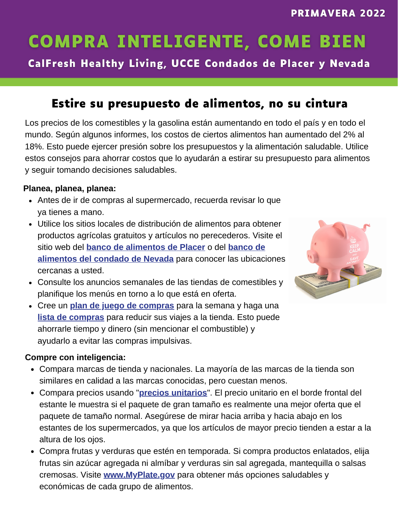## **COMPRA INTELIGENTE, COME BIEN**

CalFresh Healthy Living, UCCE Condados de Placer y Nevada

## **Estire su presupuesto de alimentos, no su cintura**

Los precios de los comestibles y la gasolina están aumentando en todo el país y en todo el mundo. Según algunos informes, los costos de ciertos alimentos han aumentado del 2% al 18%. Esto puede ejercer presión sobre los presupuestos y la alimentación saludable. Utilice estos consejos para ahorrar costos que lo ayudarán a estirar su presupuesto para alimentos y seguir tomando decisiones saludables.

### **Planea, planea, planea:**

- Antes de ir de compras al supermercado, recuerda revisar lo que ya tienes a mano.
- Utilice los sitios locales de distribución de alimentos para obtener productos agrícolas gratuitos y artículos no perecederos. Visite el sitio web del **banco de alimentos de Placer** o del **banco de alimentos del condado de Nevada** para conocer las ubicaciones cercanas a usted.
- Consulte los anuncios semanales de las tiendas de comestibles y planifique los menús en torno a lo que está en oferta.
- Cree un **plan de juego de compras** para la semana y haga una **lista de compras** para reducir sus viajes a la tienda. Esto puede ahorrarle tiempo y dinero (sin mencionar el combustible) y ayudarlo a evitar las compras impulsivas.



### **Compre con inteligencia:**

- Compara marcas de tienda y nacionales. La mayoría de las marcas de la tienda son similares en calidad a las marcas conocidas, pero cuestan menos.
- Compara precios usando "**precios unitarios**". El precio unitario en el borde frontal del estante le muestra si el paquete de gran tamaño es realmente una mejor oferta que el paquete de tamaño normal. Asegúrese de mirar hacia arriba y hacia abajo en los estantes de los supermercados, ya que los artículos de mayor precio tienden a estar a la altura de los ojos.
- Compra frutas y verduras que estén en temporada. Si compra productos enlatados, elija frutas sin azúcar agregada ni almíbar y verduras sin sal agregada, mantequilla o salsas cremosas. Visite **www.MyPlate.gov** para obtener más opciones saludables y económicas de cada grupo de alimentos.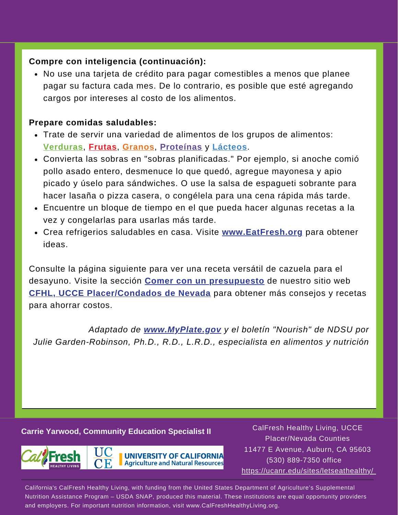### **Compre con inteligencia (continuación):**

No use una tarjeta de crédito para pagar comestibles a menos que planee pagar su factura cada mes. De lo contrario, es posible que esté agregando cargos por intereses al costo de los alimentos.

### **Prepare comidas saludables:**

- Trate de servir una variedad de alimentos de los grupos de alimentos: **Verduras**, **Frutas**, **Granos**, **Proteínas** y **Lácteos**.
- Convierta las sobras en "sobras planificadas." Por ejemplo, si anoche comió pollo asado entero, desmenuce lo que quedó, agregue mayonesa y apio picado y úselo para sándwiches. O use la salsa de espagueti sobrante para hacer lasaña o pizza casera, o congélela para una cena rápida más tarde.
- Encuentre un bloque de tiempo en el que pueda hacer algunas recetas a la vez y congelarlas para usarlas más tarde.
- Crea refrigerios saludables en casa. Visite **www.EatFresh.org** para obtener ideas.

Consulte la página siguiente para ver una receta versátil de cazuela para el desayuno. Visite la sección **Comer con un presupuesto** de nuestro sitio web **CFHL, UCCE Placer/Condados de Nevada** para obtener más consejos y recetas para ahorrar costos.

*Adaptado de www.MyPlate.gov y el boletín "Nourish" de NDSU por Julie Garden-Robinson, Ph.D., R.D., L.R.D., especialista en alimentos y nutrición*

### **Carrie Yarwood, Community Education Specialist II**



CalFresh Healthy Living, UCCE Placer/Nevada Counties 11477 E Avenue, Auburn, CA 95603 (530) 889-7350 office https://ucanr.edu/sites/letseathealthy/

California's CalFresh Healthy Living, with funding from the United States Department of Agriculture's Supplemental Nutrition Assistance Program – USDA SNAP, produced this material. These institutions are equal opportunity providers and employers. For important nutrition information, visit www.CalFreshHealthyLiving.org.

**UNIVERSITY OF CALIFORNIA Agriculture and Natural Resources**